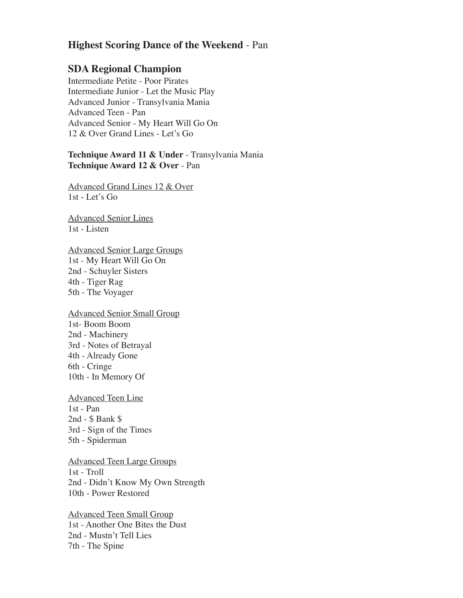## **Highest Scoring Dance of the Weekend** - Pan

## **SDA Regional Champion**

Intermediate Petite - Poor Pirates Intermediate Junior - Let the Music Play Advanced Junior - Transylvania Mania Advanced Teen - Pan Advanced Senior - My Heart Will Go On 12 & Over Grand Lines - Let's Go

## **Technique Award 11 & Under** - Transylvania Mania **Technique Award 12 & Over** - Pan

Advanced Grand Lines 12 & Over 1st - Let's Go

Advanced Senior Lines 1st - Listen

Advanced Senior Large Groups 1st - My Heart Will Go On 2nd - Schuyler Sisters 4th - Tiger Rag 5th - The Voyager

Advanced Senior Small Group 1st- Boom Boom 2nd - Machinery 3rd - Notes of Betrayal 4th - Already Gone 6th - Cringe 10th - In Memory Of

Advanced Teen Line 1st - Pan 2nd - \$ Bank \$ 3rd - Sign of the Times 5th - Spiderman

Advanced Teen Large Groups 1st - Troll 2nd - Didn't Know My Own Strength 10th - Power Restored

Advanced Teen Small Group 1st - Another One Bites the Dust 2nd - Mustn't Tell Lies 7th - The Spine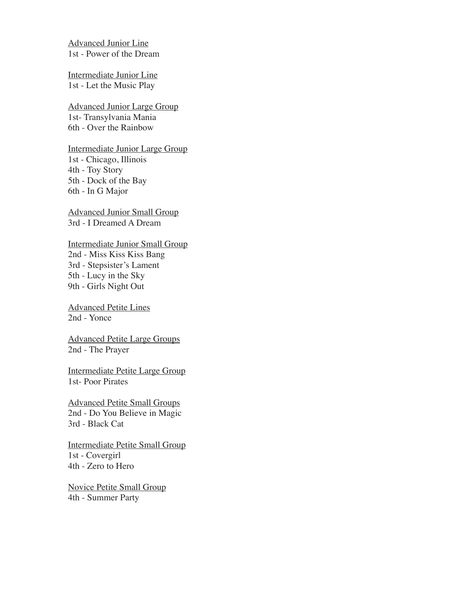Advanced Junior Line 1st - Power of the Dream

Intermediate Junior Line 1st - Let the Music Play

Advanced Junior Large Group 1st- Transylvania Mania 6th - Over the Rainbow

Intermediate Junior Large Group 1st - Chicago, Illinois 4th - Toy Story 5th - Dock of the Bay 6th - In G Major

Advanced Junior Small Group 3rd - I Dreamed A Dream

Intermediate Junior Small Group 2nd - Miss Kiss Kiss Bang 3rd - Stepsister's Lament 5th - Lucy in the Sky 9th - Girls Night Out

Advanced Petite Lines 2nd - Yonce

Advanced Petite Large Groups 2nd - The Prayer

Intermediate Petite Large Group 1st- Poor Pirates

Advanced Petite Small Groups 2nd - Do You Believe in Magic 3rd - Black Cat

Intermediate Petite Small Group 1st - Covergirl 4th - Zero to Hero

Novice Petite Small Group 4th - Summer Party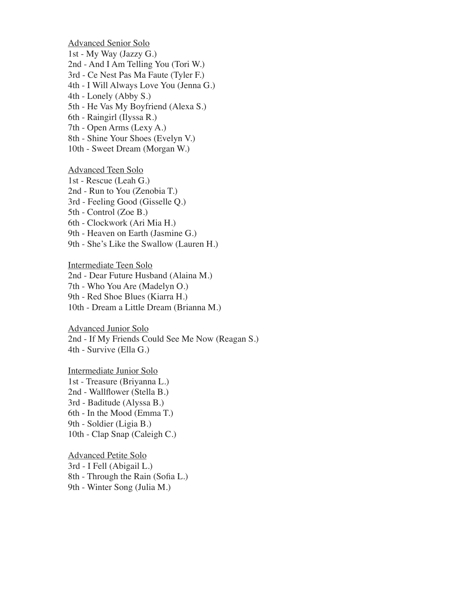Advanced Senior Solo 1st - My Way (Jazzy G.) 2nd - And I Am Telling You (Tori W.) 3rd - Ce Nest Pas Ma Faute (Tyler F.) 4th - I Will Always Love You (Jenna G.) 4th - Lonely (Abby S.) 5th - He Vas My Boyfriend (Alexa S.) 6th - Raingirl (Ilyssa R.) 7th - Open Arms (Lexy A.) 8th - Shine Your Shoes (Evelyn V.) 10th - Sweet Dream (Morgan W.) Advanced Teen Solo 1st - Rescue (Leah G.) 2nd - Run to You (Zenobia T.) 3rd - Feeling Good (Gisselle Q.) 5th - Control (Zoe B.) 6th - Clockwork (Ari Mia H.) 9th - Heaven on Earth (Jasmine G.) 9th - She's Like the Swallow (Lauren H.) Intermediate Teen Solo

2nd - Dear Future Husband (Alaina M.) 7th - Who You Are (Madelyn O.) 9th - Red Shoe Blues (Kiarra H.) 10th - Dream a Little Dream (Brianna M.)

Advanced Junior Solo 2nd - If My Friends Could See Me Now (Reagan S.) 4th - Survive (Ella G.)

Intermediate Junior Solo 1st - Treasure (Briyanna L.) 2nd - Wallflower (Stella B.) 3rd - Baditude (Alyssa B.) 6th - In the Mood (Emma T.) 9th - Soldier (Ligia B.) 10th - Clap Snap (Caleigh C.)

Advanced Petite Solo 3rd - I Fell (Abigail L.) 8th - Through the Rain (Sofia L.) 9th - Winter Song (Julia M.)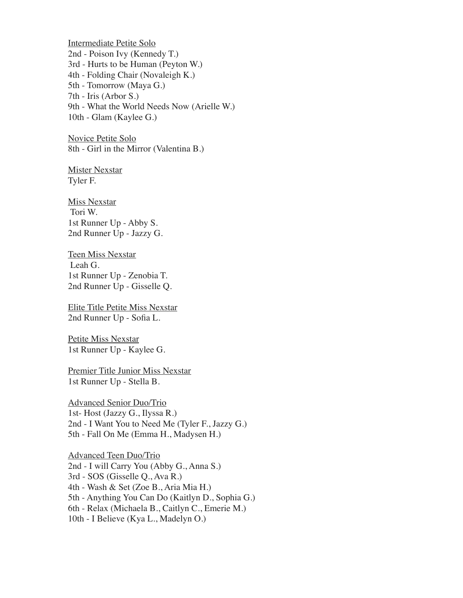Intermediate Petite Solo 2nd - Poison Ivy (Kennedy T.) 3rd - Hurts to be Human (Peyton W.) 4th - Folding Chair (Novaleigh K.) 5th - Tomorrow (Maya G.) 7th - Iris (Arbor S.) 9th - What the World Needs Now (Arielle W.) 10th - Glam (Kaylee G.)

Novice Petite Solo 8th - Girl in the Mirror (Valentina B.)

**Mister Nexstar** Tyler F.

**Miss Nexstar** Tori W. 1st Runner Up - Abby S. 2nd Runner Up - Jazzy G.

Teen Miss Nexstar Leah G. 1st Runner Up - Zenobia T. 2nd Runner Up - Gisselle Q.

Elite Title Petite Miss Nexstar 2nd Runner Up - Sofia L.

Petite Miss Nexstar 1st Runner Up - Kaylee G.

Premier Title Junior Miss Nexstar 1st Runner Up - Stella B.

Advanced Senior Duo/Trio 1st- Host (Jazzy G., Ilyssa R.) 2nd - I Want You to Need Me (Tyler F., Jazzy G.) 5th - Fall On Me (Emma H., Madysen H.)

Advanced Teen Duo/Trio 2nd - I will Carry You (Abby G., Anna S.) 3rd - SOS (Gisselle Q., Ava R.) 4th - Wash & Set (Zoe B., Aria Mia H.) 5th - Anything You Can Do (Kaitlyn D., Sophia G.) 6th - Relax (Michaela B., Caitlyn C., Emerie M.) 10th - I Believe (Kya L., Madelyn O.)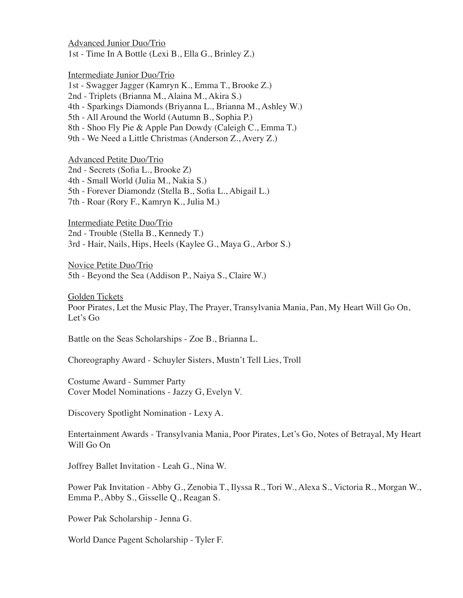Advanced Junior Duo/Trio 1st - Time In A Bottle (Lexi B., Ella G., Brinley Z.)

Intermediate Junior Duo/Trio

1st - Swagger Jagger (Kamryn K., Emma T., Brooke Z.)

2nd - Triplets (Brianna M., Alaina M., Akira S.)

4th - Sparkings Diamonds (Briyanna L., Brianna M., Ashley W.)

5th - All Around the World (Autumn B., Sophia P.)

8th - Shoo Fly Pie & Apple Pan Dowdy (Caleigh C., Emma T.)

9th - We Need a Little Christmas (Anderson Z., Avery Z.)

Advanced Petite Duo/Trio

2nd - Secrets (Sofia L., Brooke Z)

4th - Small World (Julia M., Nakia S.)

5th - Forever Diamondz (Stella B., Sofia L., Abigail L.)

7th - Roar (Rory F., Kamryn K., Julia M.)

Intermediate Petite Duo/Trio 2nd - Trouble (Stella B., Kennedy T.) 3rd - Hair, Nails, Hips, Heels (Kaylee G., Maya G., Arbor S.)

Novice Petite Duo/Trio 5th - Beyond the Sea (Addison P., Naiya S., Claire W.)

Golden Tickets Poor Pirates, Let the Music Play, The Prayer, Transylvania Mania, Pan, My Heart Will Go On, Let's Go

Battle on the Seas Scholarships - Zoe B., Brianna L.

Choreography Award - Schuyler Sisters, Mustn't Tell Lies, Troll

Costume Award - Summer Party Cover Model Nominations - Jazzy G, Evelyn V.

Discovery Spotlight Nomination - Lexy A.

Entertainment Awards - Transylvania Mania, Poor Pirates, Let's Go, Notes of Betrayal, My Heart Will Go On

Joffrey Ballet Invitation - Leah G., Nina W.

Power Pak Invitation - Abby G., Zenobia T., Ilyssa R., Tori W., Alexa S., Victoria R., Morgan W., Emma P., Abby S., Gisselle Q., Reagan S.

Power Pak Scholarship - Jenna G.

World Dance Pagent Scholarship - Tyler F.